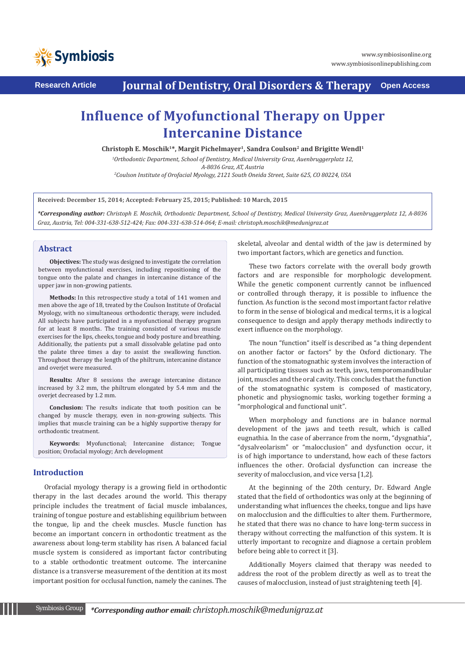

**Research Article Journal of Dentistry, Oral Disorders & Therapy Open Access**

# **Influence of Myofunctional Therapy on Upper Intercanine Distance**

Christoph E. Moschik<sup>1\*</sup>, Margit Pichelmayer<sup>1</sup>, Sandra Coulson<sup>2</sup> and Brigitte Wendl<sup>1</sup>

*1 Orthodontic Department, School of Dentistry, Medical University Graz, Auenbruggerplatz 12, A-8036 Graz, AT, Austria 2 Coulson Institute of Orofacial Myology, 2121 South Oneida Street, Suite 625, CO 80224, USA*

**Received: December 15, 2014; Accepted: February 25, 2015; Published: 10 March, 2015**

*\*Corresponding author: Christoph E. Moschik, Orthodontic Department, School of Dentistry, Medical University Graz, Auenbruggerplatz 12, A-8036 Graz, Austria, Tel: 004-331-638-512-424; Fax: 004-331-638-514-064; E-mail: christoph.moschik@medunigraz.at*

## **Abstract**

**Objectives:** The study was designed to investigate the correlation between myofunctional exercises, including repositioning of the tongue onto the palate and changes in intercanine distance of the upper jaw in non-growing patients.

**Methods:** In this retrospective study a total of 141 women and men above the age of 18, treated by the Coulson Institute of Orofacial Myology, with no simultaneous orthodontic therapy, were included. All subjects have participated in a myofunctional therapy program for at least 8 months. The training consisted of various muscle exercises for the lips, cheeks, tongue and body posture and breathing. Additionally, the patients put a small dissolvable gelatine pad onto the palate three times a day to assist the swallowing function. Throughout therapy the length of the philtrum, intercanine distance and overjet were measured.

**Results:** After 8 sessions the average intercanine distance increased by 3.2 mm, the philtrum elongated by 5.4 mm and the overjet decreased by 1.2 mm.

**Conclusion:** The results indicate that tooth position can be changed by muscle therapy, even in non-growing subjects. This implies that muscle training can be a highly supportive therapy for orthodontic treatment.

**Keywords:** Myofunctional; Intercanine distance; Tongue position; Orofacial myology; Arch development

# **Introduction**

Orofacial myology therapy is a growing field in orthodontic therapy in the last decades around the world. This therapy principle includes the treatment of facial muscle imbalances, training of tongue posture and establishing equilibrium between the tongue, lip and the cheek muscles. Muscle function has become an important concern in orthodontic treatment as the awareness about long-term stability has risen. A balanced facial muscle system is considered as important factor contributing to a stable orthodontic treatment outcome. The intercanine distance is a transverse measurement of the dentition at its most important position for occlusal function, namely the canines. The skeletal, alveolar and dental width of the jaw is determined by two important factors, which are genetics and function.

These two factors correlate with the overall body growth factors and are responsible for morphologic development. While the genetic component currently cannot be influenced or controlled through therapy, it is possible to influence the function. As function is the second most important factor relative to form in the sense of biological and medical terms, it is a logical consequence to design and apply therapy methods indirectly to exert influence on the morphology.

The noun "function" itself is described as "a thing dependent on another factor or factors" by the Oxford dictionary. The function of the stomatognathic system involves the interaction of all participating tissues such as teeth, jaws, temporomandibular joint, muscles and the oral cavity. This concludes that the function of the stomatognathic system is composed of masticatory, phonetic and physiognomic tasks, working together forming a "morphological and functional unit".

When morphology and functions are in balance normal development of the jaws and teeth result, which is called eugnathia. In the case of aberrance from the norm, "dysgnathia", "dysalveolarism" or "malocclusion" and dysfunction occur, it is of high importance to understand, how each of these factors influences the other. Orofacial dysfunction can increase the severity of malocclusion, and vice versa [1,2].

At the beginning of the 20th century, Dr. Edward Angle stated that the field of orthodontics was only at the beginning of understanding what influences the cheeks, tongue and lips have on malocclusion and the difficulties to alter them. Furthermore, he stated that there was no chance to have long-term success in therapy without correcting the malfunction of this system. It is utterly important to recognize and diagnose a certain problem before being able to correct it [3].

Additionally Moyers claimed that therapy was needed to address the root of the problem directly as well as to treat the causes of malocclusion, instead of just straightening teeth [4].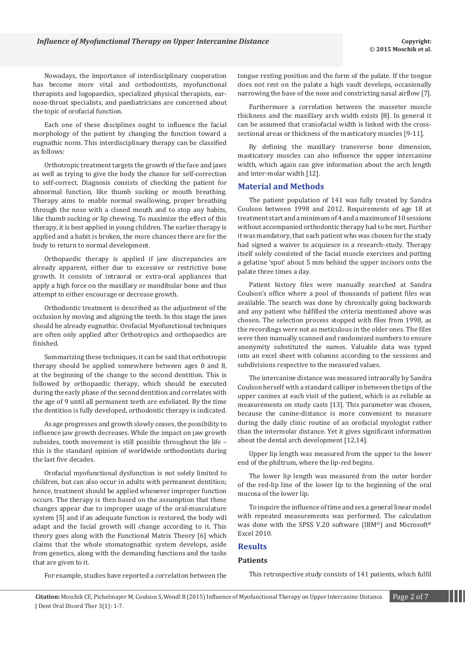Nowadays, the importance of interdisciplinary cooperation has become more vital and orthodontists, myofunctional therapists and logopaedics, specialized physical therapists, earnose-throat specialists, and paediatricians are concerned about the topic of orofacial function.

Each one of these disciplines ought to influence the facial morphology of the patient by changing the function toward a eugnathic norm. This interdisciplinary therapy can be classified as follows:

Orthotropic treatment targets the growth of the face and jaws as well as trying to give the body the chance for self-correction to self-correct. Diagnosis consists of checking the patient for abnormal function, like thumb sucking or mouth breathing. Therapy aims to enable normal swallowing, proper breathing through the nose with a closed mouth and to stop any habits, like thumb sucking or lip chewing. To maximize the effect of this therapy, it is best applied in young children. The earlier therapy is applied and a habit is broken, the more chances there are for the body to return to normal development.

Orthopaedic therapy is applied if jaw discrepancies are already apparent, either due to excessive or restrictive bone growth. It consists of intraoral or extra-oral appliances that apply a high force on the maxillary or mandibular bone and thus attempt to either encourage or decrease growth.

Orthodontic treatment is described as the adjustment of the occlusion by moving and aligning the teeth. In this stage the jaws should be already eugnathic. Orofacial Myofunctional techniques are often only applied after Orthotropics and orthopaedics are finished.

Summarizing these techniques, it can be said that orthotropic therapy should be applied somewhere between ages 0 and 8, at the beginning of the change to the second dentition. This is followed by orthopaedic therapy, which should be executed during the early phase of the second dentition and correlates with the age of 9 until all permanent teeth are exfoliated. By the time the dentition is fully developed, orthodontic therapy is indicated.

As age progresses and growth slowly ceases, the possibility to influence jaw growth decreases. While the impact on jaw growth subsides, tooth movement is still possible throughout the life – this is the standard opinion of worldwide orthodontists during the last five decades.

Orofacial myofunctional dysfunction is not solely limited to children, but can also occur in adults with permanent dentition; hence, treatment should be applied whenever improper function occurs. The therapy is then based on the assumption that these changes appear due to improper usage of the oral-musculature system [5] and if an adequate function is restored, the body will adapt and the facial growth will change according to it. This theory goes along with the Functional Matrix Theory [6] which claims that the whole stomatognathic system develops, aside from genetics, along with the demanding functions and the tasks that are given to it.

For example, studies have reported a correlation between the

tongue resting position and the form of the palate. If the tongue does not rest on the palate a high vault develops, occasionally narrowing the base of the nose and constricting nasal airflow [7].

Furthermore a correlation between the masseter muscle thickness and the maxillary arch width exists [8]. In general it can be assumed that craniofacial width is linked with the crosssectional areas or thickness of the masticatory muscles [9-11].

By defining the maxillary transverse bone dimension, masticatory muscles can also influence the upper intercanine width, which again can give information about the arch length and inter-molar width [12].

#### **Material and Methods**

The patient population of 141 was fully treated by Sandra Coulson between 1998 and 2012. Requirements of age 18 at treatment start and a minimum of 4 and a maximum of 10 sessions without accompanied orthodontic therapy had to be met. Further it was mandatory, that each patient who was chosen for the study had signed a waiver to acquiesce in a research-study. Therapy itself solely consisted of the facial muscle exercises and putting a gelatine 'spot' about 5 mm behind the upper incisors onto the palate three times a day.

Patient history files were manually searched at Sandra Coulson's office where a pool of thousands of patient files was available. The search was done by chronically going backwards and any patient who fulfilled the criteria mentioned above was chosen. The selection process stopped with files from 1998, as the recordings were not as meticulous in the older ones. The files were then manually scanned and randomized numbers to ensure anonymity substituted the names. Valuable data was typed into an excel sheet with columns according to the sessions and subdivisions respective to the measured values.

The intercanine distance was measured intraorally by Sandra Coulson herself with a standard calliper in between the tips of the upper canines at each visit of the patient, which is as reliable as measurements on study casts [13]. This parameter was chosen, because the canine-distance is more convenient to measure during the daily clinic routine of an orofacial myologist rather than the intermolar distance. Yet it gives significant information about the dental arch development [12,14].

Upper lip length was measured from the upper to the lower end of the philtrum, where the lip-red begins.

The lower lip length was measured from the outer border of the red-lip line of the lower lip to the beginning of the oral mucosa of the lower lip.

To inquire the influence of time and sex a general linear model with repeated measurements was performed. The calculation was done with the SPSS V.20 software (IBM<sup>®</sup>) and Microsoft<sup>®</sup> Excel 2010.

#### **Results**

#### **Patients**

This retrospective study consists of 141 patients, which fulfil

**Citation:** Moschik CE, Pichelmayer M, Coulson S, Wendl B (2015) Influence of Myofunctional Therapy on Upper Intercanine Distance. Page 2 of 7 J Dent Oral Disord Ther 3(1): 1-7.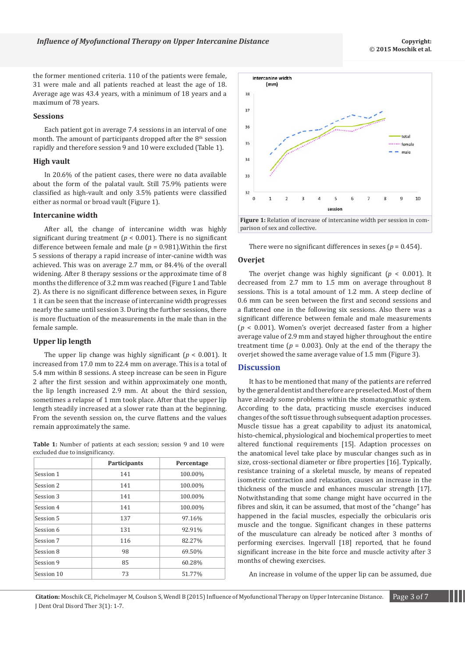the former mentioned criteria. 110 of the patients were female, 31 were male and all patients reached at least the age of 18. Average age was 43.4 years, with a minimum of 18 years and a maximum of 78 years.

#### **Sessions**

Each patient got in average 7.4 sessions in an interval of one month. The amount of participants dropped after the  $8<sup>th</sup>$  session rapidly and therefore session 9 and 10 were excluded (Table 1).

#### **High vault**

In 20.6% of the patient cases, there were no data available about the form of the palatal vault. Still 75.9% patients were classified as high-vault and only 3.5% patients were classified either as normal or broad vault (Figure 1).

#### **Intercanine width**

After all, the change of intercanine width was highly significant during treatment ( $p < 0.001$ ). There is no significant difference between female and male (*p* = 0.981).Within the first 5 sessions of therapy a rapid increase of inter-canine width was achieved. This was on average 2.7 mm, or 84.4% of the overall widening. After 8 therapy sessions or the approximate time of 8 months the difference of 3.2 mm was reached (Figure 1 and Table 2). As there is no significant difference between sexes, in Figure 1 it can be seen that the increase of intercanine width progresses nearly the same until session 3. During the further sessions, there is more fluctuation of the measurements in the male than in the female sample.

#### **Upper lip length**

The upper lip change was highly significant ( $p < 0.001$ ). It increased from 17.0 mm to 22.4 mm on average. This is a total of 5.4 mm within 8 sessions. A steep increase can be seen in Figure 2 after the first session and within approximately one month, the lip length increased 2.9 mm. At about the third session, sometimes a relapse of 1 mm took place. After that the upper lip length steadily increased at a slower rate than at the beginning. From the seventh session on, the curve flattens and the values remain approximately the same.

**Table 1:** Number of patients at each session; session 9 and 10 were excluded due to insignificancy.

|            | Participants | Percentage |  |
|------------|--------------|------------|--|
| Session 1  | 141          | 100.00%    |  |
| Session 2  | 141          | 100.00%    |  |
| Session 3  | 141          | 100.00%    |  |
| Session 4  | 141          | 100.00%    |  |
| Session 5  | 137          | 97.16%     |  |
| Session 6  | 131          | 92.91%     |  |
| Session 7  | 116          | 82.27%     |  |
| Session 8  | 98           | 69.50%     |  |
| Session 9  | 85           | 60.28%     |  |
| Session 10 | 73           | 51.77%     |  |





There were no significant differences in sexes  $(p = 0.454)$ .

#### **Overjet**

intercanine width  $(mm)$ 

The overjet change was highly significant ( $p < 0.001$ ). It decreased from 2.7 mm to 1.5 mm on average throughout 8 sessions. This is a total amount of 1.2 mm. A steep decline of 0.6 mm can be seen between the first and second sessions and a flattened one in the following six sessions. Also there was a significant difference between female and male measurements (*p* < 0.001). Women's overjet decreased faster from a higher average value of 2.9 mm and stayed higher throughout the entire treatment time  $(p = 0.003)$ . Only at the end of the therapy the overjet showed the same average value of 1.5 mm (Figure 3).

#### **Discussion**

It has to be mentioned that many of the patients are referred by the general dentist and therefore are preselected. Most of them have already some problems within the stomatognathic system. According to the data, practicing muscle exercises induced changes of the soft tissue through subsequent adaption processes. Muscle tissue has a great capability to adjust its anatomical, histo-chemical, physiological and biochemical properties to meet altered functional requirements [15]. Adaption processes on the anatomical level take place by muscular changes such as in size, cross-sectional diameter or fibre properties [16]. Typically, resistance training of a skeletal muscle, by means of repeated isometric contraction and relaxation, causes an increase in the thickness of the muscle and enhances muscular strength [17]. Notwithstanding that some change might have occurred in the fibres and skin, it can be assumed, that most of the "change" has happened in the facial muscles, especially the orbicularis oris muscle and the tongue. Significant changes in these patterns of the musculature can already be noticed after 3 months of performing exercises. Ingervall [18] reported, that he found significant increase in the bite force and muscle activity after 3 months of chewing exercises.

An increase in volume of the upper lip can be assumed, due

**Citation:** Moschik CE, Pichelmayer M, Coulson S, Wendl B (2015) Influence of Myofunctional Therapy on Upper Intercanine Distance. Page 3 of 7 J Dent Oral Disord Ther 3(1): 1-7.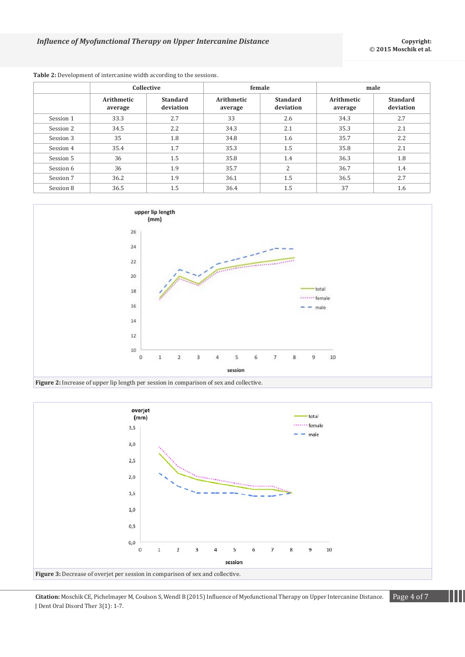|           | Collective            |                              | female                |                              | male                  |                              |
|-----------|-----------------------|------------------------------|-----------------------|------------------------------|-----------------------|------------------------------|
|           | Arithmetic<br>average | <b>Standard</b><br>deviation | Arithmetic<br>average | <b>Standard</b><br>deviation | Arithmetic<br>average | <b>Standard</b><br>deviation |
| Session 1 | 33.3                  | 2.7                          | 33                    | 2.6                          | 34.3                  | 2.7                          |
| Session 2 | 34.5                  | 2.2                          | 34.3                  | 2.1                          | 35.3                  | 2.1                          |
| Session 3 | 35                    | 1.8                          | 34.8                  | 1.6                          | 35.7                  | 2.2                          |
| Session 4 | 35.4                  | 1.7                          | 35.3                  | 1.5                          | 35.8                  | 2.1                          |
| Session 5 | 36                    | 1.5                          | 35.8                  | 1.4                          | 36.3                  | 1.8                          |
| Session 6 | 36                    | 1.9                          | 35.7                  | 2                            | 36.7                  | 1.4                          |
| Session 7 | 36.2                  | 1.9                          | 36.1                  | 1.5                          | 36.5                  | 2.7                          |
| Session 8 | 36.5                  | 1.5                          | 36.4                  | 1.5                          | 37                    | 1.6                          |

# **Table 2:** Development of intercanine width according to the sessions.





**Citation:** Moschik CE, Pichelmayer M, Coulson S, Wendl B (2015) Influence of Myofunctional Therapy on Upper Intercanine Distance. Page 4 of 7 J Dent Oral Disord Ther 3(1): 1-7.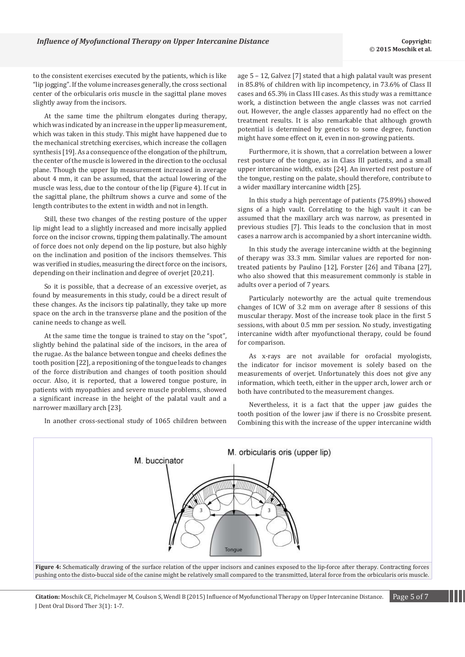*Influence of Myofunctional Therapy on Upper Intercanine Distance* **Contract to the Conventional Copyright:** Copyright:

to the consistent exercises executed by the patients, which is like "lip jogging". If the volume increases generally, the cross sectional center of the orbicularis oris muscle in the sagittal plane moves slightly away from the incisors.

At the same time the philtrum elongates during therapy, which was indicated by an increase in the upper lip measurement, which was taken in this study. This might have happened due to the mechanical stretching exercises, which increase the collagen synthesis [19]. As a consequence of the elongation of the philtrum, the center of the muscle is lowered in the direction to the occlusal plane. Though the upper lip measurement increased in average about 4 mm, it can be assumed, that the actual lowering of the muscle was less, due to the contour of the lip (Figure 4). If cut in the sagittal plane, the philtrum shows a curve and some of the length contributes to the extent in width and not in length.

Still, these two changes of the resting posture of the upper lip might lead to a slightly increased and more incisally applied force on the incisor crowns, tipping them palatinally. The amount of force does not only depend on the lip posture, but also highly on the inclination and position of the incisors themselves. This was verified in studies, measuring the direct force on the incisors, depending on their inclination and degree of overjet [20,21].

So it is possible, that a decrease of an excessive overjet, as found by measurements in this study, could be a direct result of these changes. As the incisors tip palatinally, they take up more space on the arch in the transverse plane and the position of the canine needs to change as well.

At the same time the tongue is trained to stay on the "spot", slightly behind the palatinal side of the incisors, in the area of the rugae. As the balance between tongue and cheeks defines the tooth position [22], a repositioning of the tongue leads to changes of the force distribution and changes of tooth position should occur. Also, it is reported, that a lowered tongue posture, in patients with myopathies and severe muscle problems, showed a significant increase in the height of the palatal vault and a narrower maxillary arch [23].

In another cross-sectional study of 1065 children between

age 5 – 12, Galvez [7] stated that a high palatal vault was present in 85.8% of children with lip incompetency, in 73.6% of Class II cases and 65.3% in Class III cases. As this study was a remittance work, a distinction between the angle classes was not carried out. However, the angle classes apparently had no effect on the treatment results. It is also remarkable that although growth potential is determined by genetics to some degree, function might have some effect on it, even in non-growing patients.

Furthermore, it is shown, that a correlation between a lower rest posture of the tongue, as in Class III patients, and a small upper intercanine width, exists [24]. An inverted rest posture of the tongue, resting on the palate, should therefore, contribute to a wider maxillary intercanine width [25].

In this study a high percentage of patients (75.89%) showed signs of a high vault. Correlating to the high vault it can be assumed that the maxillary arch was narrow, as presented in previous studies [7]. This leads to the conclusion that in most cases a narrow arch is accompanied by a short intercanine width.

In this study the average intercanine width at the beginning of therapy was 33.3 mm. Similar values are reported for nontreated patients by Paulino [12], Forster [26] and Tibana [27], who also showed that this measurement commonly is stable in adults over a period of 7 years.

Particularly noteworthy are the actual quite tremendous changes of ICW of 3.2 mm on average after 8 sessions of this muscular therapy. Most of the increase took place in the first 5 sessions, with about 0.5 mm per session. No study, investigating intercanine width after myofunctional therapy, could be found for comparison.

As x-rays are not available for orofacial myologists, the indicator for incisor movement is solely based on the measurements of overjet. Unfortunately this does not give any information, which teeth, either in the upper arch, lower arch or both have contributed to the measurement changes.

Nevertheless, it is a fact that the upper jaw guides the tooth position of the lower jaw if there is no Crossbite present. Combining this with the increase of the upper intercanine width



**Figure 4:** Schematically drawing of the surface relation of the upper incisors and canines exposed to the lip-force after therapy. Contracting forces pushing onto the disto-buccal side of the canine might be relatively small compared to the transmitted, lateral force from the orbicularis oris muscle.

**Citation:** Moschik CE, Pichelmayer M, Coulson S, Wendl B (2015) Influence of Myofunctional Therapy on Upper Intercanine Distance. Page 5 of 7 J Dent Oral Disord Ther 3(1): 1-7.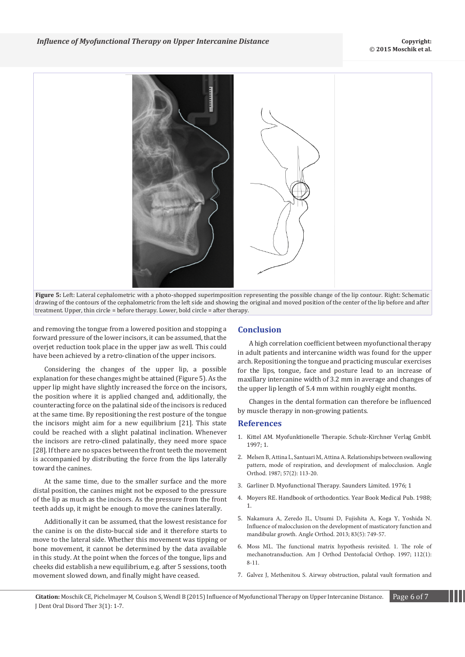

**Figure 5:** Left: Lateral cephalometric with a photo-shopped superimposition representing the possible change of the lip contour. Right: Schematic drawing of the contours of the cephalometric from the left side and showing the original and moved position of the center of the lip before and after treatment. Upper, thin circle = before therapy. Lower, bold circle = after therapy.

and removing the tongue from a lowered position and stopping a forward pressure of the lower incisors, it can be assumed, that the overjet reduction took place in the upper jaw as well. This could have been achieved by a retro-clination of the upper incisors.

Considering the changes of the upper lip, a possible explanation for these changes might be attained (Figure 5). As the upper lip might have slightly increased the force on the incisors, the position where it is applied changed and, additionally, the counteracting force on the palatinal side of the incisors is reduced at the same time. By repositioning the rest posture of the tongue the incisors might aim for a new equilibrium [21]. This state could be reached with a slight palatinal inclination. Whenever the incisors are retro-clined palatinally, they need more space [28]. If there are no spaces between the front teeth the movement is accompanied by distributing the force from the lips laterally toward the canines.

At the same time, due to the smaller surface and the more distal position, the canines might not be exposed to the pressure of the lip as much as the incisors. As the pressure from the front teeth adds up, it might be enough to move the canines laterally.

Additionally it can be assumed, that the lowest resistance for the canine is on the disto-buccal side and it therefore starts to move to the lateral side. Whether this movement was tipping or bone movement, it cannot be determined by the data available in this study. At the point when the forces of the tongue, lips and cheeks did establish a new equilibrium, e.g. after 5 sessions, tooth movement slowed down, and finally might have ceased.

### **Conclusion**

A high correlation coefficient between myofunctional therapy in adult patients and intercanine width was found for the upper arch. Repositioning the tongue and practicing muscular exercises for the lips, tongue, face and posture lead to an increase of maxillary intercanine width of 3.2 mm in average and changes of the upper lip length of 5.4 mm within roughly eight months.

Changes in the dental formation can therefore be influenced by muscle therapy in non-growing patients.

#### **References**

- 1. Kittel AM. Myofunktionelle Therapie. Schulz-Kirchner Verlag GmbH. 1997; 1.
- 2. M[elsen B, Attina L, Santuari M, Attina A. Relationships between swallowing](http://www.ncbi.nlm.nih.gov/pubmed/3473947)  [pattern, mode of respiration, and development of malocclusion. Angle](http://www.ncbi.nlm.nih.gov/pubmed/3473947)  [Orthod. 1987; 57\(2\): 113-20.](http://www.ncbi.nlm.nih.gov/pubmed/3473947)
- 3. Garliner D. Myofunctional Therapy. Saunders Limited. 1976; 1
- 4. Moyers RE. Handbook of orthodontics. Year Book Medical Pub. 1988; 1.
- 5. N[akamura A, Zeredo JL, Utsumi D, Fujishita A, Koga Y, Yoshida N.](http://www.ncbi.nlm.nih.gov/pubmed/23327417)  [Influence of malocclusion on the development of masticatory function and](http://www.ncbi.nlm.nih.gov/pubmed/23327417)  [mandibular growth. Angle Orthod. 2013; 83\(5\): 749-57.](http://www.ncbi.nlm.nih.gov/pubmed/23327417)
- 6. M[oss ML. The functional matrix hypothesis revisited. 1. The role of](http://www.ncbi.nlm.nih.gov/pubmed/9228835)  [mechanotransduction. Am J Orthod Dentofacial Orthop. 1997; 112\(1\):](http://www.ncbi.nlm.nih.gov/pubmed/9228835)  [8-11.](http://www.ncbi.nlm.nih.gov/pubmed/9228835)
- 7. G[alvez J, Methenitou S. Airway obstruction, palatal vault formation and](http://www.ncbi.nlm.nih.gov/pubmed/2600739)